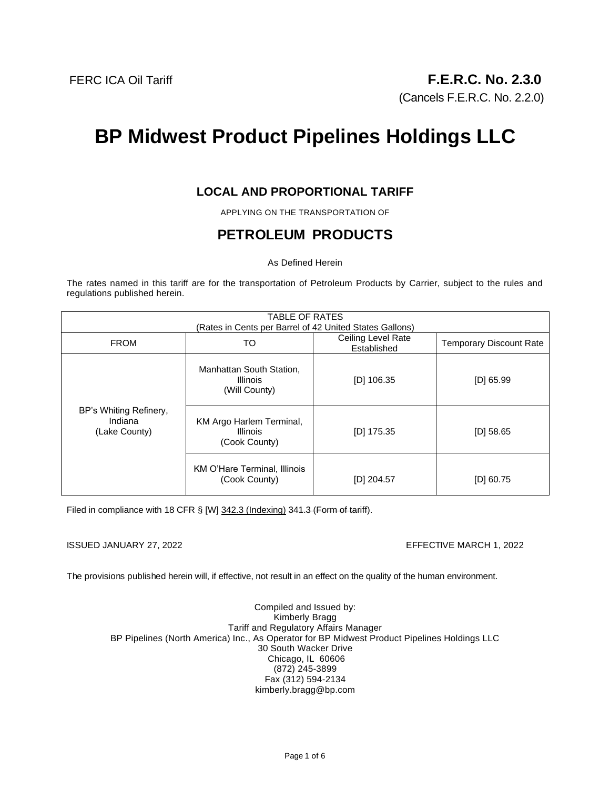(Cancels F.E.R.C. No. 2.2.0)

# **BP Midwest Product Pipelines Holdings LLC**

### **LOCAL AND PROPORTIONAL TARIFF**

APPLYING ON THE TRANSPORTATION OF

## **PETROLEUM PRODUCTS**

As Defined Herein

The rates named in this tariff are for the transportation of Petroleum Products by Carrier, subject to the rules and regulations published herein.

| <b>TABLE OF RATES</b><br>(Rates in Cents per Barrel of 42 United States Gallons) |                                                              |                                   |                                |
|----------------------------------------------------------------------------------|--------------------------------------------------------------|-----------------------------------|--------------------------------|
| <b>FROM</b>                                                                      | TO                                                           | Ceiling Level Rate<br>Established | <b>Temporary Discount Rate</b> |
| BP's Whiting Refinery,<br>Indiana<br>(Lake County)                               | Manhattan South Station,<br><b>Illinois</b><br>(Will County) | $[D]$ 106.35                      | $[D]$ 65.99                    |
|                                                                                  | KM Argo Harlem Terminal,<br><b>Illinois</b><br>(Cook County) | [D] 175.35                        | $[D]$ 58.65                    |
|                                                                                  | KM O'Hare Terminal, Illinois<br>(Cook County)                | $[D]$ 204.57                      | $[D]$ 60.75                    |

Filed in compliance with 18 CFR § [W] 342.3 (Indexing) 341.3 (Form of tariff).

ISSUED JANUARY 27, 2022 EFFECTIVE MARCH 1, 2022

The provisions published herein will, if effective, not result in an effect on the quality of the human environment.

Compiled and Issued by: Kimberly Bragg Tariff and Regulatory Affairs Manager BP Pipelines (North America) Inc., As Operator for BP Midwest Product Pipelines Holdings LLC 30 South Wacker Drive Chicago, IL 60606 (872) 245-3899 Fax (312) 594-2134 kimberly.bragg@bp.com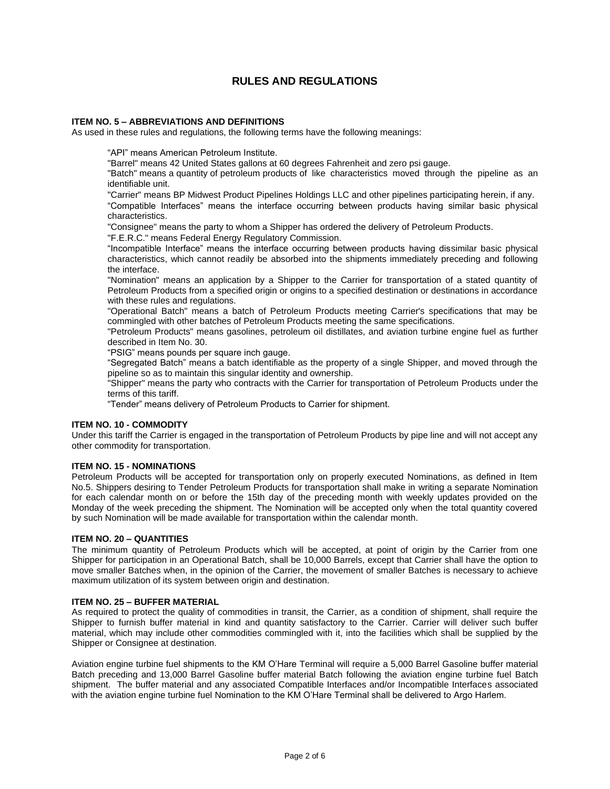### **RULES AND REGULATIONS**

#### **ITEM NO. 5 – ABBREVIATIONS AND DEFINITIONS**

As used in these rules and regulations, the following terms have the following meanings:

"API" means American Petroleum Institute.

"Barrel" means 42 United States gallons at 60 degrees Fahrenheit and zero psi gauge.

"Batch" means a quantity of petroleum products of like characteristics moved through the pipeline as an identifiable unit.

"Carrier" means BP Midwest Product Pipelines Holdings LLC and other pipelines participating herein, if any. "Compatible Interfaces" means the interface occurring between products having similar basic physical characteristics.

"Consignee" means the party to whom a Shipper has ordered the delivery of Petroleum Products.

"F.E.R.C." means Federal Energy Regulatory Commission.

"Incompatible Interface" means the interface occurring between products having dissimilar basic physical characteristics, which cannot readily be absorbed into the shipments immediately preceding and following the interface.

"Nomination" means an application by a Shipper to the Carrier for transportation of a stated quantity of Petroleum Products from a specified origin or origins to a specified destination or destinations in accordance with these rules and regulations.

"Operational Batch" means a batch of Petroleum Products meeting Carrier's specifications that may be commingled with other batches of Petroleum Products meeting the same specifications.

"Petroleum Products" means gasolines, petroleum oil distillates, and aviation turbine engine fuel as further described in Item No. 30.

"PSIG" means pounds per square inch gauge.

"Segregated Batch" means a batch identifiable as the property of a single Shipper, and moved through the pipeline so as to maintain this singular identity and ownership.

"Shipper" means the party who contracts with the Carrier for transportation of Petroleum Products under the terms of this tariff.

"Tender" means delivery of Petroleum Products to Carrier for shipment.

#### **ITEM NO. 10 - COMMODITY**

Under this tariff the Carrier is engaged in the transportation of Petroleum Products by pipe line and will not accept any other commodity for transportation.

#### **ITEM NO. 15 - NOMINATIONS**

Petroleum Products will be accepted for transportation only on properly executed Nominations, as defined in Item No.5. Shippers desiring to Tender Petroleum Products for transportation shall make in writing a separate Nomination for each calendar month on or before the 15th day of the preceding month with weekly updates provided on the Monday of the week preceding the shipment. The Nomination will be accepted only when the total quantity covered by such Nomination will be made available for transportation within the calendar month.

#### **ITEM NO. 20 – QUANTITIES**

The minimum quantity of Petroleum Products which will be accepted, at point of origin by the Carrier from one Shipper for participation in an Operational Batch, shall be 10,000 Barrels, except that Carrier shall have the option to move smaller Batches when, in the opinion of the Carrier, the movement of smaller Batches is necessary to achieve maximum utilization of its system between origin and destination.

#### **ITEM NO. 25 – BUFFER MATERIAL**

As required to protect the quality of commodities in transit, the Carrier, as a condition of shipment, shall require the Shipper to furnish buffer material in kind and quantity satisfactory to the Carrier. Carrier will deliver such buffer material, which may include other commodities commingled with it, into the facilities which shall be supplied by the Shipper or Consignee at destination.

Aviation engine turbine fuel shipments to the KM O'Hare Terminal will require a 5,000 Barrel Gasoline buffer material Batch preceding and 13,000 Barrel Gasoline buffer material Batch following the aviation engine turbine fuel Batch shipment. The buffer material and any associated Compatible Interfaces and/or Incompatible Interfaces associated with the aviation engine turbine fuel Nomination to the KM O'Hare Terminal shall be delivered to Argo Harlem.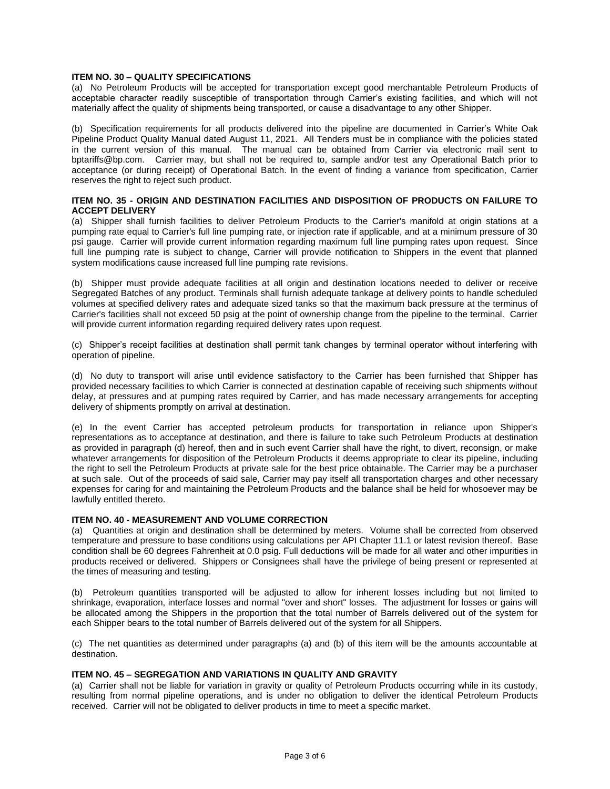#### **ITEM NO. 30 – QUALITY SPECIFICATIONS**

(a) No Petroleum Products will be accepted for transportation except good merchantable Petroleum Products of acceptable character readily susceptible of transportation through Carrier's existing facilities, and which will not materially affect the quality of shipments being transported, or cause a disadvantage to any other Shipper.

(b) Specification requirements for all products delivered into the pipeline are documented in Carrier's White Oak Pipeline Product Quality Manual dated August 11, 2021. All Tenders must be in compliance with the policies stated in the current version of this manual. The manual can be obtained from Carrier via electronic mail sent to bptariffs@bp.com. Carrier may, but shall not be required to, sample and/or test any Operational Batch prior to acceptance (or during receipt) of Operational Batch. In the event of finding a variance from specification, Carrier reserves the right to reject such product.

#### **ITEM NO. 35 - ORIGIN AND DESTINATION FACILITIES AND DISPOSITION OF PRODUCTS ON FAILURE TO ACCEPT DELIVERY**

(a) Shipper shall furnish facilities to deliver Petroleum Products to the Carrier's manifold at origin stations at a pumping rate equal to Carrier's full line pumping rate, or injection rate if applicable, and at a minimum pressure of 30 psi gauge. Carrier will provide current information regarding maximum full line pumping rates upon request. Since full line pumping rate is subject to change, Carrier will provide notification to Shippers in the event that planned system modifications cause increased full line pumping rate revisions.

(b) Shipper must provide adequate facilities at all origin and destination locations needed to deliver or receive Segregated Batches of any product. Terminals shall furnish adequate tankage at delivery points to handle scheduled volumes at specified delivery rates and adequate sized tanks so that the maximum back pressure at the terminus of Carrier's facilities shall not exceed 50 psig at the point of ownership change from the pipeline to the terminal. Carrier will provide current information regarding required delivery rates upon request.

(c) Shipper's receipt facilities at destination shall permit tank changes by terminal operator without interfering with operation of pipeline.

(d) No duty to transport will arise until evidence satisfactory to the Carrier has been furnished that Shipper has provided necessary facilities to which Carrier is connected at destination capable of receiving such shipments without delay, at pressures and at pumping rates required by Carrier, and has made necessary arrangements for accepting delivery of shipments promptly on arrival at destination.

(e) In the event Carrier has accepted petroleum products for transportation in reliance upon Shipper's representations as to acceptance at destination, and there is failure to take such Petroleum Products at destination as provided in paragraph (d) hereof, then and in such event Carrier shall have the right, to divert, reconsign, or make whatever arrangements for disposition of the Petroleum Products it deems appropriate to clear its pipeline, including the right to sell the Petroleum Products at private sale for the best price obtainable. The Carrier may be a purchaser at such sale. Out of the proceeds of said sale, Carrier may pay itself all transportation charges and other necessary expenses for caring for and maintaining the Petroleum Products and the balance shall be held for whosoever may be lawfully entitled thereto.

#### **ITEM NO. 40 - MEASUREMENT AND VOLUME CORRECTION**

(a) Quantities at origin and destination shall be determined by meters. Volume shall be corrected from observed temperature and pressure to base conditions using calculations per API Chapter 11.1 or latest revision thereof. Base condition shall be 60 degrees Fahrenheit at 0.0 psig. Full deductions will be made for all water and other impurities in products received or delivered. Shippers or Consignees shall have the privilege of being present or represented at the times of measuring and testing.

(b) Petroleum quantities transported will be adjusted to allow for inherent losses including but not limited to shrinkage, evaporation, interface losses and normal "over and short" losses. The adjustment for losses or gains will be allocated among the Shippers in the proportion that the total number of Barrels delivered out of the system for each Shipper bears to the total number of Barrels delivered out of the system for all Shippers.

(c) The net quantities as determined under paragraphs (a) and (b) of this item will be the amounts accountable at destination.

#### **ITEM NO. 45 – SEGREGATION AND VARIATIONS IN QUALITY AND GRAVITY**

(a) Carrier shall not be liable for variation in gravity or quality of Petroleum Products occurring while in its custody, resulting from normal pipeline operations, and is under no obligation to deliver the identical Petroleum Products received. Carrier will not be obligated to deliver products in time to meet a specific market.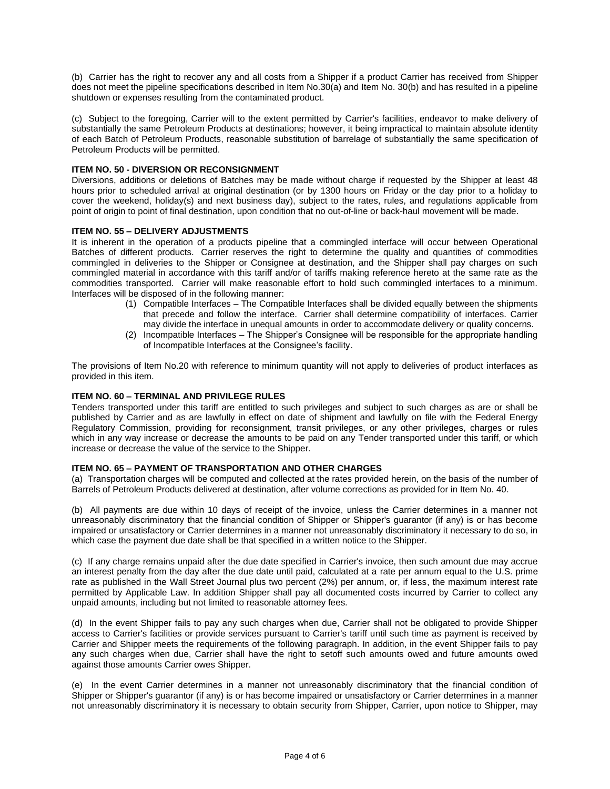(b) Carrier has the right to recover any and all costs from a Shipper if a product Carrier has received from Shipper does not meet the pipeline specifications described in Item No.30(a) and Item No. 30(b) and has resulted in a pipeline shutdown or expenses resulting from the contaminated product.

(c) Subject to the foregoing, Carrier will to the extent permitted by Carrier's facilities, endeavor to make delivery of substantially the same Petroleum Products at destinations; however, it being impractical to maintain absolute identity of each Batch of Petroleum Products, reasonable substitution of barrelage of substantially the same specification of Petroleum Products will be permitted.

#### **ITEM NO. 50 - DIVERSION OR RECONSIGNMENT**

Diversions, additions or deletions of Batches may be made without charge if requested by the Shipper at least 48 hours prior to scheduled arrival at original destination (or by 1300 hours on Friday or the day prior to a holiday to cover the weekend, holiday(s) and next business day), subject to the rates, rules, and regulations applicable from point of origin to point of final destination, upon condition that no out-of-line or back-haul movement will be made.

#### **ITEM NO. 55 – DELIVERY ADJUSTMENTS**

It is inherent in the operation of a products pipeline that a commingled interface will occur between Operational Batches of different products. Carrier reserves the right to determine the quality and quantities of commodities commingled in deliveries to the Shipper or Consignee at destination, and the Shipper shall pay charges on such commingled material in accordance with this tariff and/or of tariffs making reference hereto at the same rate as the commodities transported. Carrier will make reasonable effort to hold such commingled interfaces to a minimum. Interfaces will be disposed of in the following manner:

- (1) Compatible Interfaces The Compatible Interfaces shall be divided equally between the shipments that precede and follow the interface. Carrier shall determine compatibility of interfaces. Carrier may divide the interface in unequal amounts in order to accommodate delivery or quality concerns.
- (2) Incompatible Interfaces The Shipper's Consignee will be responsible for the appropriate handling of Incompatible Interfaces at the Consignee's facility.

The provisions of Item No.20 with reference to minimum quantity will not apply to deliveries of product interfaces as provided in this item.

#### **ITEM NO. 60 – TERMINAL AND PRIVILEGE RULES**

Tenders transported under this tariff are entitled to such privileges and subject to such charges as are or shall be published by Carrier and as are lawfully in effect on date of shipment and lawfully on file with the Federal Energy Regulatory Commission, providing for reconsignment, transit privileges, or any other privileges, charges or rules which in any way increase or decrease the amounts to be paid on any Tender transported under this tariff, or which increase or decrease the value of the service to the Shipper.

#### **ITEM NO. 65 – PAYMENT OF TRANSPORTATION AND OTHER CHARGES**

(a) Transportation charges will be computed and collected at the rates provided herein, on the basis of the number of Barrels of Petroleum Products delivered at destination, after volume corrections as provided for in Item No. 40.

(b) All payments are due within 10 days of receipt of the invoice, unless the Carrier determines in a manner not unreasonably discriminatory that the financial condition of Shipper or Shipper's guarantor (if any) is or has become impaired or unsatisfactory or Carrier determines in a manner not unreasonably discriminatory it necessary to do so, in which case the payment due date shall be that specified in a written notice to the Shipper.

(c) If any charge remains unpaid after the due date specified in Carrier's invoice, then such amount due may accrue an interest penalty from the day after the due date until paid, calculated at a rate per annum equal to the U.S. prime rate as published in the Wall Street Journal plus two percent (2%) per annum, or, if less, the maximum interest rate permitted by Applicable Law. In addition Shipper shall pay all documented costs incurred by Carrier to collect any unpaid amounts, including but not limited to reasonable attorney fees.

(d) In the event Shipper fails to pay any such charges when due, Carrier shall not be obligated to provide Shipper access to Carrier's facilities or provide services pursuant to Carrier's tariff until such time as payment is received by Carrier and Shipper meets the requirements of the following paragraph. In addition, in the event Shipper fails to pay any such charges when due, Carrier shall have the right to setoff such amounts owed and future amounts owed against those amounts Carrier owes Shipper.

(e) In the event Carrier determines in a manner not unreasonably discriminatory that the financial condition of Shipper or Shipper's guarantor (if any) is or has become impaired or unsatisfactory or Carrier determines in a manner not unreasonably discriminatory it is necessary to obtain security from Shipper, Carrier, upon notice to Shipper, may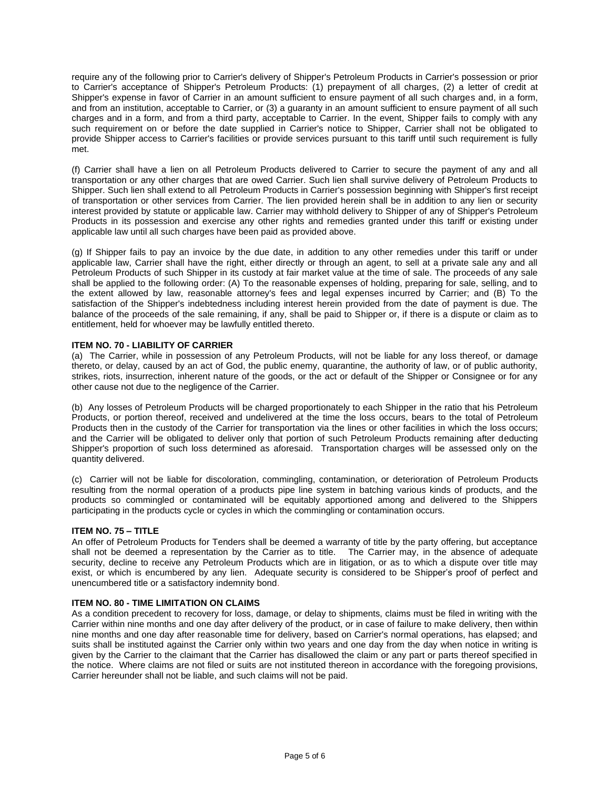require any of the following prior to Carrier's delivery of Shipper's Petroleum Products in Carrier's possession or prior to Carrier's acceptance of Shipper's Petroleum Products: (1) prepayment of all charges, (2) a letter of credit at Shipper's expense in favor of Carrier in an amount sufficient to ensure payment of all such charges and, in a form, and from an institution, acceptable to Carrier, or (3) a guaranty in an amount sufficient to ensure payment of all such charges and in a form, and from a third party, acceptable to Carrier. In the event, Shipper fails to comply with any such requirement on or before the date supplied in Carrier's notice to Shipper, Carrier shall not be obligated to provide Shipper access to Carrier's facilities or provide services pursuant to this tariff until such requirement is fully met.

(f) Carrier shall have a lien on all Petroleum Products delivered to Carrier to secure the payment of any and all transportation or any other charges that are owed Carrier. Such lien shall survive delivery of Petroleum Products to Shipper. Such lien shall extend to all Petroleum Products in Carrier's possession beginning with Shipper's first receipt of transportation or other services from Carrier. The lien provided herein shall be in addition to any lien or security interest provided by statute or applicable law. Carrier may withhold delivery to Shipper of any of Shipper's Petroleum Products in its possession and exercise any other rights and remedies granted under this tariff or existing under applicable law until all such charges have been paid as provided above.

(g) If Shipper fails to pay an invoice by the due date, in addition to any other remedies under this tariff or under applicable law, Carrier shall have the right, either directly or through an agent, to sell at a private sale any and all Petroleum Products of such Shipper in its custody at fair market value at the time of sale. The proceeds of any sale shall be applied to the following order: (A) To the reasonable expenses of holding, preparing for sale, selling, and to the extent allowed by law, reasonable attorney's fees and legal expenses incurred by Carrier; and (B) To the satisfaction of the Shipper's indebtedness including interest herein provided from the date of payment is due. The balance of the proceeds of the sale remaining, if any, shall be paid to Shipper or, if there is a dispute or claim as to entitlement, held for whoever may be lawfully entitled thereto.

#### **ITEM NO. 70 - LIABILITY OF CARRIER**

(a) The Carrier, while in possession of any Petroleum Products, will not be liable for any loss thereof, or damage thereto, or delay, caused by an act of God, the public enemy, quarantine, the authority of law, or of public authority, strikes, riots, insurrection, inherent nature of the goods, or the act or default of the Shipper or Consignee or for any other cause not due to the negligence of the Carrier.

(b) Any losses of Petroleum Products will be charged proportionately to each Shipper in the ratio that his Petroleum Products, or portion thereof, received and undelivered at the time the loss occurs, bears to the total of Petroleum Products then in the custody of the Carrier for transportation via the lines or other facilities in which the loss occurs; and the Carrier will be obligated to deliver only that portion of such Petroleum Products remaining after deducting Shipper's proportion of such loss determined as aforesaid. Transportation charges will be assessed only on the quantity delivered.

(c) Carrier will not be liable for discoloration, commingling, contamination, or deterioration of Petroleum Products resulting from the normal operation of a products pipe line system in batching various kinds of products, and the products so commingled or contaminated will be equitably apportioned among and delivered to the Shippers participating in the products cycle or cycles in which the commingling or contamination occurs.

#### **ITEM NO. 75 – TITLE**

An offer of Petroleum Products for Tenders shall be deemed a warranty of title by the party offering, but acceptance shall not be deemed a representation by the Carrier as to title. The Carrier may, in the absence of adequate security, decline to receive any Petroleum Products which are in litigation, or as to which a dispute over title may exist, or which is encumbered by any lien. Adequate security is considered to be Shipper's proof of perfect and unencumbered title or a satisfactory indemnity bond.

#### **ITEM NO. 80 - TIME LIMITATION ON CLAIMS**

As a condition precedent to recovery for loss, damage, or delay to shipments, claims must be filed in writing with the Carrier within nine months and one day after delivery of the product, or in case of failure to make delivery, then within nine months and one day after reasonable time for delivery, based on Carrier's normal operations, has elapsed; and suits shall be instituted against the Carrier only within two years and one day from the day when notice in writing is given by the Carrier to the claimant that the Carrier has disallowed the claim or any part or parts thereof specified in the notice. Where claims are not filed or suits are not instituted thereon in accordance with the foregoing provisions, Carrier hereunder shall not be liable, and such claims will not be paid.